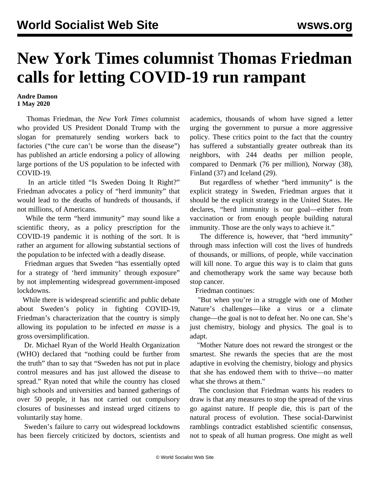## **New York Times columnist Thomas Friedman calls for letting COVID-19 run rampant**

**Andre Damon 1 May 2020**

 Thomas Friedman, the *New York Times* columnist who provided US President Donald Trump with the slogan for prematurely sending workers back to factories ("the cure can't be worse than the disease") has published an article endorsing a policy of allowing large portions of the US population to be infected with COVID-19.

 In an article titled "Is Sweden Doing It Right?" Friedman advocates a policy of "herd immunity" that would lead to the deaths of hundreds of thousands, if not millions, of Americans.

 While the term "herd immunity" may sound like a scientific theory, as a policy prescription for the COVID-19 pandemic it is nothing of the sort. It is rather an argument for allowing substantial sections of the population to be infected with a deadly disease.

 Friedman argues that Sweden "has essentially opted for a strategy of 'herd immunity' through exposure" by not implementing widespread government-imposed lockdowns.

 While there is widespread scientific and public debate about Sweden's policy in fighting COVID-19, Friedman's characterization that the country is simply allowing its population to be infected *en masse* is a gross oversimplification.

 Dr. Michael Ryan of the World Health Organization (WHO) declared that "nothing could be further from the truth" than to say that "Sweden has not put in place control measures and has just allowed the disease to spread." Ryan noted that while the country has closed high schools and universities and banned gatherings of over 50 people, it has not carried out compulsory closures of businesses and instead urged citizens to voluntarily stay home.

 Sweden's failure to carry out widespread lockdowns has been fiercely criticized by doctors, scientists and academics, thousands of whom have signed a letter urging the government to pursue a more aggressive policy. These critics point to the fact that the country has suffered a substantially greater outbreak than its neighbors, with 244 deaths per million people, compared to Denmark (76 per million), Norway (38), Finland (37) and Iceland (29).

 But regardless of whether "herd immunity" is the explicit strategy in Sweden, Friedman argues that it should be the explicit strategy in the United States. He declares, "herd immunity is our goal—either from vaccination or from enough people building natural immunity. Those are the only ways to achieve it."

 The difference is, however, that "herd immunity" through mass infection will cost the lives of hundreds of thousands, or millions, of people, while vaccination will kill none. To argue this way is to claim that guns and chemotherapy work the same way because both stop cancer.

Friedman continues:

 "But when you're in a struggle with one of Mother Nature's challenges—like a virus or a climate change—the goal is not to defeat her. No one can. She's just chemistry, biology and physics. The goal is to adapt.

 "Mother Nature does not reward the strongest or the smartest. She rewards the species that are the most adaptive in evolving the chemistry, biology and physics that she has endowed them with to thrive—no matter what she throws at them."

 The conclusion that Friedman wants his readers to draw is that any measures to stop the spread of the virus go against nature. If people die, this is part of the natural process of evolution. These social-Darwinist ramblings contradict established scientific consensus, not to speak of all human progress. One might as well